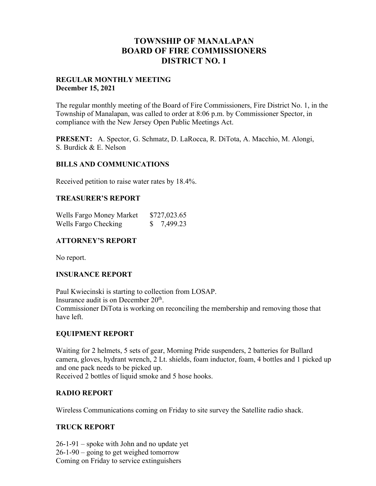# **TOWNSHIP OF MANALAPAN BOARD OF FIRE COMMISSIONERS DISTRICT NO. 1**

## **REGULAR MONTHLY MEETING December 15, 2021**

The regular monthly meeting of the Board of Fire Commissioners, Fire District No. 1, in the Township of Manalapan, was called to order at 8:06 p.m. by Commissioner Spector, in compliance with the New Jersey Open Public Meetings Act.

**PRESENT:** A. Spector, G. Schmatz, D. LaRocca, R. DiTota, A. Macchio, M. Alongi, S. Burdick & E. Nelson

## **BILLS AND COMMUNICATIONS**

Received petition to raise water rates by 18.4%.

## **TREASURER'S REPORT**

| Wells Fargo Money Market | \$727,023.65 |
|--------------------------|--------------|
| Wells Fargo Checking     | \$7,499.23   |

## **ATTORNEY'S REPORT**

No report.

## **INSURANCE REPORT**

Paul Kwiecinski is starting to collection from LOSAP. Insurance audit is on December 20th. Commissioner DiTota is working on reconciling the membership and removing those that have left.

## **EQUIPMENT REPORT**

Waiting for 2 helmets, 5 sets of gear, Morning Pride suspenders, 2 batteries for Bullard camera, gloves, hydrant wrench, 2 Lt. shields, foam inductor, foam, 4 bottles and 1 picked up and one pack needs to be picked up. Received 2 bottles of liquid smoke and 5 hose hooks.

## **RADIO REPORT**

Wireless Communications coming on Friday to site survey the Satellite radio shack.

## **TRUCK REPORT**

26-1-91 – spoke with John and no update yet 26-1-90 – going to get weighed tomorrow Coming on Friday to service extinguishers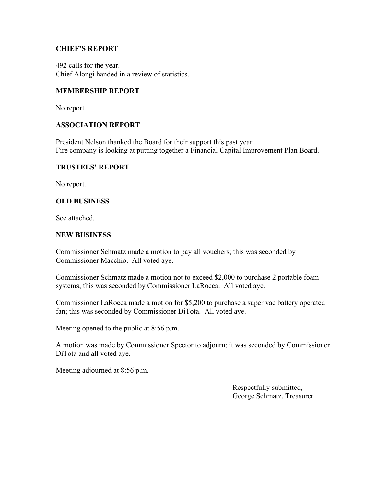## **CHIEF'S REPORT**

492 calls for the year. Chief Alongi handed in a review of statistics.

## **MEMBERSHIP REPORT**

No report.

## **ASSOCIATION REPORT**

President Nelson thanked the Board for their support this past year. Fire company is looking at putting together a Financial Capital Improvement Plan Board.

## **TRUSTEES' REPORT**

No report.

## **OLD BUSINESS**

See attached.

#### **NEW BUSINESS**

Commissioner Schmatz made a motion to pay all vouchers; this was seconded by Commissioner Macchio. All voted aye.

Commissioner Schmatz made a motion not to exceed \$2,000 to purchase 2 portable foam systems; this was seconded by Commissioner LaRocca. All voted aye.

Commissioner LaRocca made a motion for \$5,200 to purchase a super vac battery operated fan; this was seconded by Commissioner DiTota. All voted aye.

Meeting opened to the public at 8:56 p.m.

A motion was made by Commissioner Spector to adjourn; it was seconded by Commissioner DiTota and all voted aye.

Meeting adjourned at 8:56 p.m.

 Respectfully submitted, George Schmatz, Treasurer